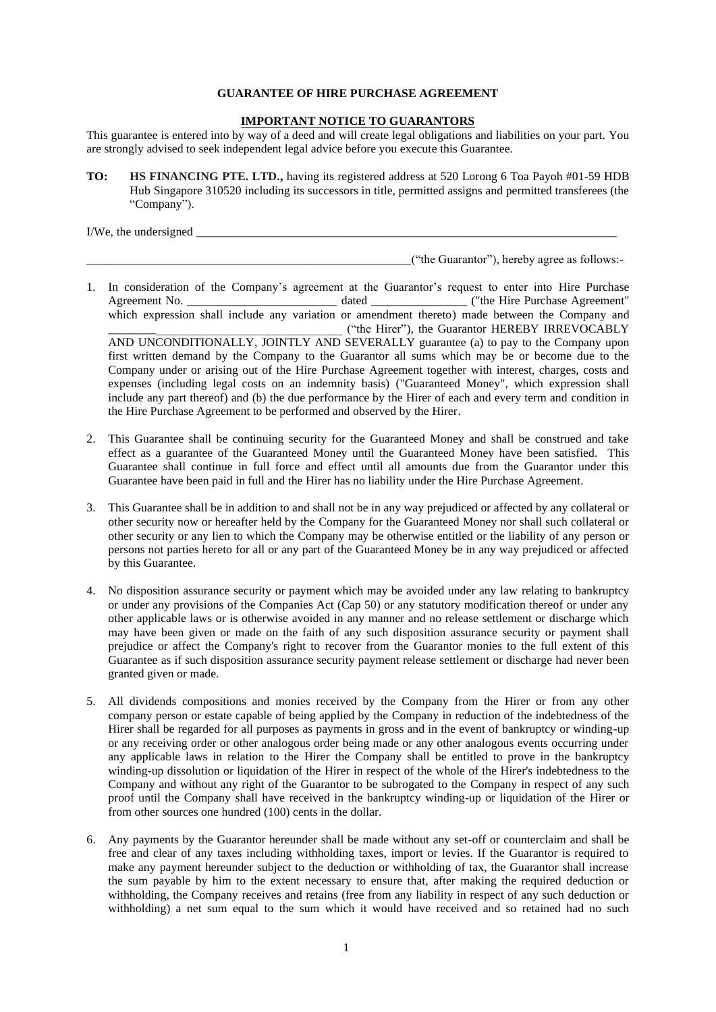## **GUARANTEE OF HIRE PURCHASE AGREEMENT**

#### **IMPORTANT NOTICE TO GUARANTORS**

This guarantee is entered into by way of a deed and will create legal obligations and liabilities on your part. You are strongly advised to seek independent legal advice before you execute this Guarantee.

**TO: HS FINANCING PTE. LTD.,** having its registered address at 520 Lorong 6 Toa Payoh #01-59 HDB Hub Singapore 310520 including its successors in title, permitted assigns and permitted transferees (the "Company").

I/We, the undersigned \_\_\_\_\_\_\_\_\_\_\_\_\_\_\_\_\_\_\_\_\_\_\_\_\_\_\_\_\_\_\_\_\_\_\_\_\_\_\_\_\_\_\_\_\_\_\_\_\_\_\_\_\_\_\_\_\_\_\_\_\_\_\_\_\_\_\_\_\_\_

\_\_\_\_\_\_\_\_\_\_\_\_\_\_\_\_\_\_\_\_\_\_\_\_\_\_\_\_\_\_\_\_\_\_\_\_\_\_\_\_\_\_\_\_\_\_\_\_\_\_\_\_\_\_("the Guarantor"), hereby agree as follows:-

- 1. In consideration of the Company's agreement at the Guarantor's request to enter into Hire Purchase Agreement No. \_\_\_\_\_\_\_\_\_\_\_\_\_\_\_\_\_\_\_\_\_\_\_\_\_\_\_\_\_\_\_\_\_ dated \_\_\_\_\_\_\_\_\_\_\_\_\_\_\_\_\_\_\_\_\_ ("the Hire Purchase Agreement" which expression shall include any variation or amendment thereto) made between the Company and \_\_\_\_\_\_\_\_\_\_\_\_\_\_\_\_\_\_\_\_\_\_\_\_\_\_\_\_\_\_\_\_\_\_\_\_\_\_\_ ("the Hirer"), the Guarantor HEREBY IRREVOCABLY AND UNCONDITIONALLY, JOINTLY AND SEVERALLY guarantee (a) to pay to the Company upon first written demand by the Company to the Guarantor all sums which may be or become due to the Company under or arising out of the Hire Purchase Agreement together with interest, charges, costs and expenses (including legal costs on an indemnity basis) ("Guaranteed Money", which expression shall include any part thereof) and (b) the due performance by the Hirer of each and every term and condition in the Hire Purchase Agreement to be performed and observed by the Hirer.
- 2. This Guarantee shall be continuing security for the Guaranteed Money and shall be construed and take effect as a guarantee of the Guaranteed Money until the Guaranteed Money have been satisfied. This Guarantee shall continue in full force and effect until all amounts due from the Guarantor under this Guarantee have been paid in full and the Hirer has no liability under the Hire Purchase Agreement.
- 3. This Guarantee shall be in addition to and shall not be in any way prejudiced or affected by any collateral or other security now or hereafter held by the Company for the Guaranteed Money nor shall such collateral or other security or any lien to which the Company may be otherwise entitled or the liability of any person or persons not parties hereto for all or any part of the Guaranteed Money be in any way prejudiced or affected by this Guarantee.
- 4. No disposition assurance security or payment which may be avoided under any law relating to bankruptcy or under any provisions of the Companies Act (Cap 50) or any statutory modification thereof or under any other applicable laws or is otherwise avoided in any manner and no release settlement or discharge which may have been given or made on the faith of any such disposition assurance security or payment shall prejudice or affect the Company's right to recover from the Guarantor monies to the full extent of this Guarantee as if such disposition assurance security payment release settlement or discharge had never been granted given or made.
- 5. All dividends compositions and monies received by the Company from the Hirer or from any other company person or estate capable of being applied by the Company in reduction of the indebtedness of the Hirer shall be regarded for all purposes as payments in gross and in the event of bankruptcy or winding-up or any receiving order or other analogous order being made or any other analogous events occurring under any applicable laws in relation to the Hirer the Company shall be entitled to prove in the bankruptcy winding-up dissolution or liquidation of the Hirer in respect of the whole of the Hirer's indebtedness to the Company and without any right of the Guarantor to be subrogated to the Company in respect of any such proof until the Company shall have received in the bankruptcy winding-up or liquidation of the Hirer or from other sources one hundred (100) cents in the dollar.
- 6. Any payments by the Guarantor hereunder shall be made without any set-off or counterclaim and shall be free and clear of any taxes including withholding taxes, import or levies. If the Guarantor is required to make any payment hereunder subject to the deduction or withholding of tax, the Guarantor shall increase the sum payable by him to the extent necessary to ensure that, after making the required deduction or withholding, the Company receives and retains (free from any liability in respect of any such deduction or withholding) a net sum equal to the sum which it would have received and so retained had no such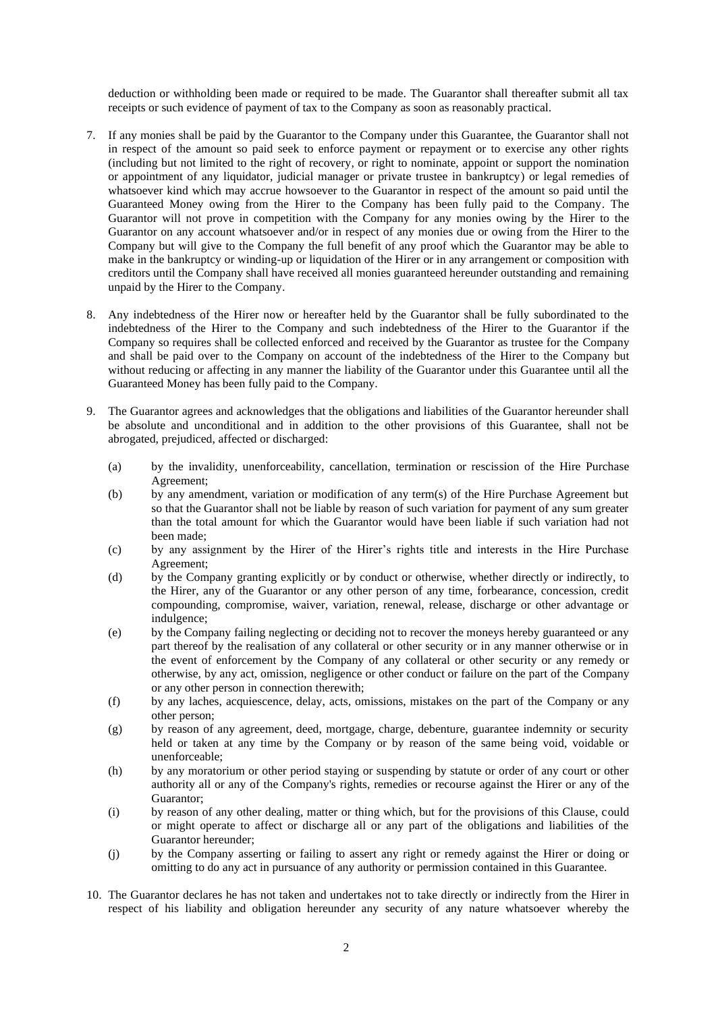deduction or withholding been made or required to be made. The Guarantor shall thereafter submit all tax receipts or such evidence of payment of tax to the Company as soon as reasonably practical.

- 7. If any monies shall be paid by the Guarantor to the Company under this Guarantee, the Guarantor shall not in respect of the amount so paid seek to enforce payment or repayment or to exercise any other rights (including but not limited to the right of recovery, or right to nominate, appoint or support the nomination or appointment of any liquidator, judicial manager or private trustee in bankruptcy) or legal remedies of whatsoever kind which may accrue howsoever to the Guarantor in respect of the amount so paid until the Guaranteed Money owing from the Hirer to the Company has been fully paid to the Company. The Guarantor will not prove in competition with the Company for any monies owing by the Hirer to the Guarantor on any account whatsoever and/or in respect of any monies due or owing from the Hirer to the Company but will give to the Company the full benefit of any proof which the Guarantor may be able to make in the bankruptcy or winding-up or liquidation of the Hirer or in any arrangement or composition with creditors until the Company shall have received all monies guaranteed hereunder outstanding and remaining unpaid by the Hirer to the Company.
- 8. Any indebtedness of the Hirer now or hereafter held by the Guarantor shall be fully subordinated to the indebtedness of the Hirer to the Company and such indebtedness of the Hirer to the Guarantor if the Company so requires shall be collected enforced and received by the Guarantor as trustee for the Company and shall be paid over to the Company on account of the indebtedness of the Hirer to the Company but without reducing or affecting in any manner the liability of the Guarantor under this Guarantee until all the Guaranteed Money has been fully paid to the Company.
- 9. The Guarantor agrees and acknowledges that the obligations and liabilities of the Guarantor hereunder shall be absolute and unconditional and in addition to the other provisions of this Guarantee, shall not be abrogated, prejudiced, affected or discharged:
	- (a) by the invalidity, unenforceability, cancellation, termination or rescission of the Hire Purchase Agreement;
	- (b) by any amendment, variation or modification of any term(s) of the Hire Purchase Agreement but so that the Guarantor shall not be liable by reason of such variation for payment of any sum greater than the total amount for which the Guarantor would have been liable if such variation had not been made;
	- (c) by any assignment by the Hirer of the Hirer's rights title and interests in the Hire Purchase Agreement;
	- (d) by the Company granting explicitly or by conduct or otherwise, whether directly or indirectly, to the Hirer, any of the Guarantor or any other person of any time, forbearance, concession, credit compounding, compromise, waiver, variation, renewal, release, discharge or other advantage or indulgence;
	- (e) by the Company failing neglecting or deciding not to recover the moneys hereby guaranteed or any part thereof by the realisation of any collateral or other security or in any manner otherwise or in the event of enforcement by the Company of any collateral or other security or any remedy or otherwise, by any act, omission, negligence or other conduct or failure on the part of the Company or any other person in connection therewith;
	- (f) by any laches, acquiescence, delay, acts, omissions, mistakes on the part of the Company or any other person;
	- (g) by reason of any agreement, deed, mortgage, charge, debenture, guarantee indemnity or security held or taken at any time by the Company or by reason of the same being void, voidable or unenforceable;
	- (h) by any moratorium or other period staying or suspending by statute or order of any court or other authority all or any of the Company's rights, remedies or recourse against the Hirer or any of the Guarantor;
	- (i) by reason of any other dealing, matter or thing which, but for the provisions of this Clause, could or might operate to affect or discharge all or any part of the obligations and liabilities of the Guarantor hereunder;
	- (j) by the Company asserting or failing to assert any right or remedy against the Hirer or doing or omitting to do any act in pursuance of any authority or permission contained in this Guarantee.
- 10. The Guarantor declares he has not taken and undertakes not to take directly or indirectly from the Hirer in respect of his liability and obligation hereunder any security of any nature whatsoever whereby the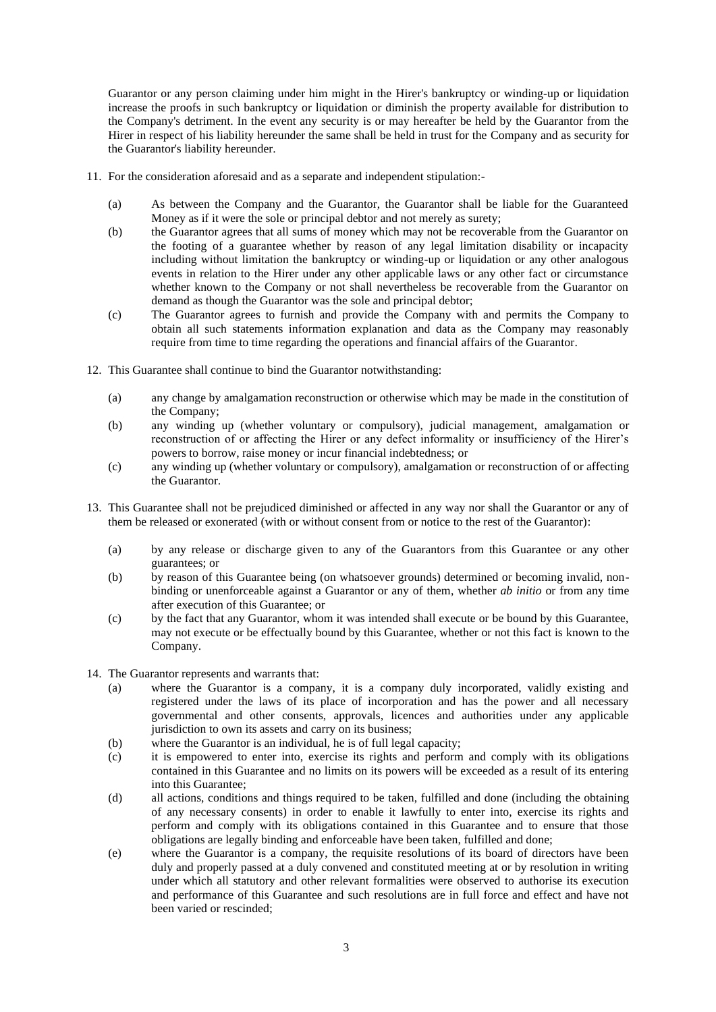Guarantor or any person claiming under him might in the Hirer's bankruptcy or winding-up or liquidation increase the proofs in such bankruptcy or liquidation or diminish the property available for distribution to the Company's detriment. In the event any security is or may hereafter be held by the Guarantor from the Hirer in respect of his liability hereunder the same shall be held in trust for the Company and as security for the Guarantor's liability hereunder.

- 11. For the consideration aforesaid and as a separate and independent stipulation:-
	- (a) As between the Company and the Guarantor, the Guarantor shall be liable for the Guaranteed Money as if it were the sole or principal debtor and not merely as surety;
	- (b) the Guarantor agrees that all sums of money which may not be recoverable from the Guarantor on the footing of a guarantee whether by reason of any legal limitation disability or incapacity including without limitation the bankruptcy or winding-up or liquidation or any other analogous events in relation to the Hirer under any other applicable laws or any other fact or circumstance whether known to the Company or not shall nevertheless be recoverable from the Guarantor on demand as though the Guarantor was the sole and principal debtor;
	- (c) The Guarantor agrees to furnish and provide the Company with and permits the Company to obtain all such statements information explanation and data as the Company may reasonably require from time to time regarding the operations and financial affairs of the Guarantor.
- 12. This Guarantee shall continue to bind the Guarantor notwithstanding:
	- (a) any change by amalgamation reconstruction or otherwise which may be made in the constitution of the Company;
	- (b) any winding up (whether voluntary or compulsory), judicial management, amalgamation or reconstruction of or affecting the Hirer or any defect informality or insufficiency of the Hirer's powers to borrow, raise money or incur financial indebtedness; or
	- (c) any winding up (whether voluntary or compulsory), amalgamation or reconstruction of or affecting the Guarantor.
- 13. This Guarantee shall not be prejudiced diminished or affected in any way nor shall the Guarantor or any of them be released or exonerated (with or without consent from or notice to the rest of the Guarantor):
	- (a) by any release or discharge given to any of the Guarantors from this Guarantee or any other guarantees; or
	- (b) by reason of this Guarantee being (on whatsoever grounds) determined or becoming invalid, nonbinding or unenforceable against a Guarantor or any of them, whether *ab initio* or from any time after execution of this Guarantee; or
	- (c) by the fact that any Guarantor, whom it was intended shall execute or be bound by this Guarantee, may not execute or be effectually bound by this Guarantee, whether or not this fact is known to the Company.
- 14. The Guarantor represents and warrants that:
	- (a) where the Guarantor is a company, it is a company duly incorporated, validly existing and registered under the laws of its place of incorporation and has the power and all necessary governmental and other consents, approvals, licences and authorities under any applicable jurisdiction to own its assets and carry on its business;
	- (b) where the Guarantor is an individual, he is of full legal capacity;
	- (c) it is empowered to enter into, exercise its rights and perform and comply with its obligations contained in this Guarantee and no limits on its powers will be exceeded as a result of its entering into this Guarantee;
	- (d) all actions, conditions and things required to be taken, fulfilled and done (including the obtaining of any necessary consents) in order to enable it lawfully to enter into, exercise its rights and perform and comply with its obligations contained in this Guarantee and to ensure that those obligations are legally binding and enforceable have been taken, fulfilled and done;
	- (e) where the Guarantor is a company, the requisite resolutions of its board of directors have been duly and properly passed at a duly convened and constituted meeting at or by resolution in writing under which all statutory and other relevant formalities were observed to authorise its execution and performance of this Guarantee and such resolutions are in full force and effect and have not been varied or rescinded;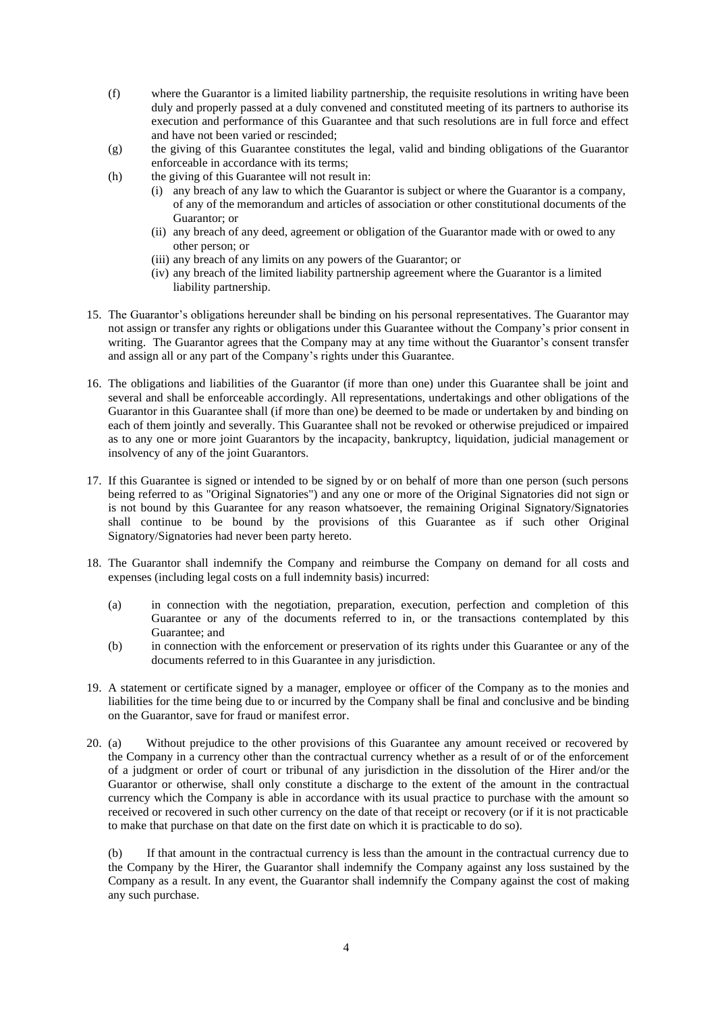- (f) where the Guarantor is a limited liability partnership, the requisite resolutions in writing have been duly and properly passed at a duly convened and constituted meeting of its partners to authorise its execution and performance of this Guarantee and that such resolutions are in full force and effect and have not been varied or rescinded;
- (g) the giving of this Guarantee constitutes the legal, valid and binding obligations of the Guarantor enforceable in accordance with its terms;
- (h) the giving of this Guarantee will not result in:
	- (i) any breach of any law to which the Guarantor is subject or where the Guarantor is a company, of any of the memorandum and articles of association or other constitutional documents of the Guarantor; or
	- (ii) any breach of any deed, agreement or obligation of the Guarantor made with or owed to any other person; or
	- (iii) any breach of any limits on any powers of the Guarantor; or
	- (iv) any breach of the limited liability partnership agreement where the Guarantor is a limited liability partnership.
- 15. The Guarantor's obligations hereunder shall be binding on his personal representatives. The Guarantor may not assign or transfer any rights or obligations under this Guarantee without the Company's prior consent in writing. The Guarantor agrees that the Company may at any time without the Guarantor's consent transfer and assign all or any part of the Company's rights under this Guarantee.
- 16. The obligations and liabilities of the Guarantor (if more than one) under this Guarantee shall be joint and several and shall be enforceable accordingly. All representations, undertakings and other obligations of the Guarantor in this Guarantee shall (if more than one) be deemed to be made or undertaken by and binding on each of them jointly and severally. This Guarantee shall not be revoked or otherwise prejudiced or impaired as to any one or more joint Guarantors by the incapacity, bankruptcy, liquidation, judicial management or insolvency of any of the joint Guarantors.
- 17. If this Guarantee is signed or intended to be signed by or on behalf of more than one person (such persons being referred to as "Original Signatories") and any one or more of the Original Signatories did not sign or is not bound by this Guarantee for any reason whatsoever, the remaining Original Signatory/Signatories shall continue to be bound by the provisions of this Guarantee as if such other Original Signatory/Signatories had never been party hereto.
- 18. The Guarantor shall indemnify the Company and reimburse the Company on demand for all costs and expenses (including legal costs on a full indemnity basis) incurred:
	- (a) in connection with the negotiation, preparation, execution, perfection and completion of this Guarantee or any of the documents referred to in, or the transactions contemplated by this Guarantee; and
	- (b) in connection with the enforcement or preservation of its rights under this Guarantee or any of the documents referred to in this Guarantee in any jurisdiction.
- 19. A statement or certificate signed by a manager, employee or officer of the Company as to the monies and liabilities for the time being due to or incurred by the Company shall be final and conclusive and be binding on the Guarantor, save for fraud or manifest error.
- 20. (a) Without prejudice to the other provisions of this Guarantee any amount received or recovered by the Company in a currency other than the contractual currency whether as a result of or of the enforcement of a judgment or order of court or tribunal of any jurisdiction in the dissolution of the Hirer and/or the Guarantor or otherwise, shall only constitute a discharge to the extent of the amount in the contractual currency which the Company is able in accordance with its usual practice to purchase with the amount so received or recovered in such other currency on the date of that receipt or recovery (or if it is not practicable to make that purchase on that date on the first date on which it is practicable to do so).

(b) If that amount in the contractual currency is less than the amount in the contractual currency due to the Company by the Hirer, the Guarantor shall indemnify the Company against any loss sustained by the Company as a result. In any event, the Guarantor shall indemnify the Company against the cost of making any such purchase.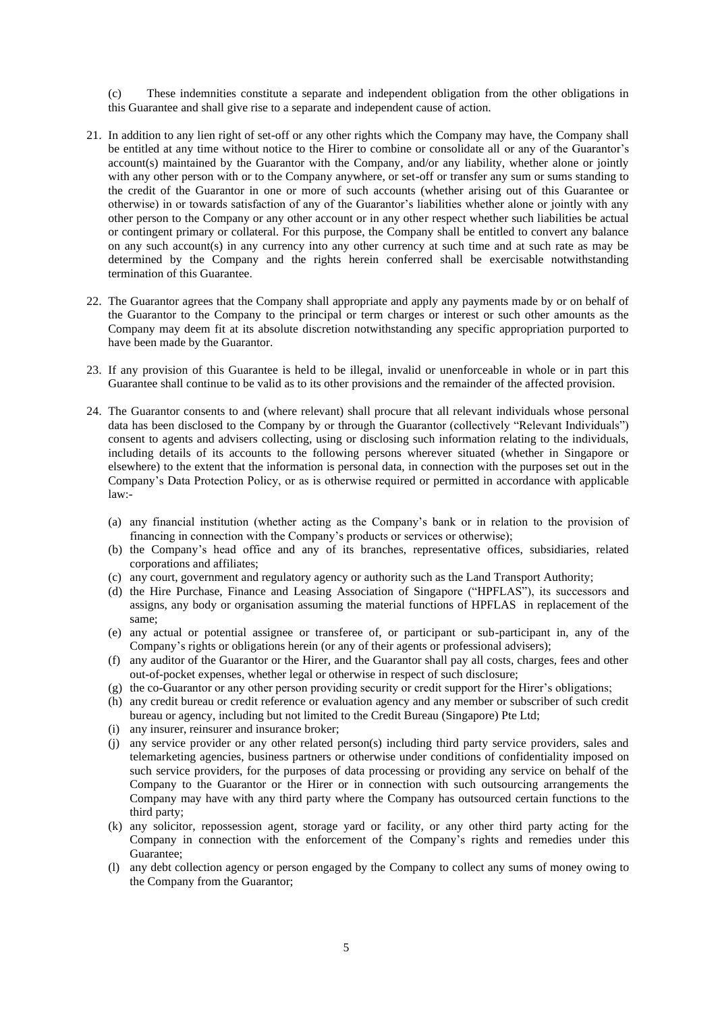(c) These indemnities constitute a separate and independent obligation from the other obligations in this Guarantee and shall give rise to a separate and independent cause of action.

- 21. In addition to any lien right of set-off or any other rights which the Company may have, the Company shall be entitled at any time without notice to the Hirer to combine or consolidate all or any of the Guarantor's account(s) maintained by the Guarantor with the Company, and/or any liability, whether alone or jointly with any other person with or to the Company anywhere, or set-off or transfer any sum or sums standing to the credit of the Guarantor in one or more of such accounts (whether arising out of this Guarantee or otherwise) in or towards satisfaction of any of the Guarantor's liabilities whether alone or jointly with any other person to the Company or any other account or in any other respect whether such liabilities be actual or contingent primary or collateral. For this purpose, the Company shall be entitled to convert any balance on any such account(s) in any currency into any other currency at such time and at such rate as may be determined by the Company and the rights herein conferred shall be exercisable notwithstanding termination of this Guarantee.
- 22. The Guarantor agrees that the Company shall appropriate and apply any payments made by or on behalf of the Guarantor to the Company to the principal or term charges or interest or such other amounts as the Company may deem fit at its absolute discretion notwithstanding any specific appropriation purported to have been made by the Guarantor.
- 23. If any provision of this Guarantee is held to be illegal, invalid or unenforceable in whole or in part this Guarantee shall continue to be valid as to its other provisions and the remainder of the affected provision.
- 24. The Guarantor consents to and (where relevant) shall procure that all relevant individuals whose personal data has been disclosed to the Company by or through the Guarantor (collectively "Relevant Individuals") consent to agents and advisers collecting, using or disclosing such information relating to the individuals, including details of its accounts to the following persons wherever situated (whether in Singapore or elsewhere) to the extent that the information is personal data, in connection with the purposes set out in the Company's Data Protection Policy, or as is otherwise required or permitted in accordance with applicable law:-
	- (a) any financial institution (whether acting as the Company's bank or in relation to the provision of financing in connection with the Company's products or services or otherwise);
	- (b) the Company's head office and any of its branches, representative offices, subsidiaries, related corporations and affiliates;
	- (c) any court, government and regulatory agency or authority such as the Land Transport Authority;
	- (d) the Hire Purchase, Finance and Leasing Association of Singapore ("HPFLAS"), its successors and assigns, any body or organisation assuming the material functions of HPFLAS in replacement of the same;
	- (e) any actual or potential assignee or transferee of, or participant or sub-participant in, any of the Company's rights or obligations herein (or any of their agents or professional advisers);
	- (f) any auditor of the Guarantor or the Hirer, and the Guarantor shall pay all costs, charges, fees and other out-of-pocket expenses, whether legal or otherwise in respect of such disclosure;
	- (g) the co-Guarantor or any other person providing security or credit support for the Hirer's obligations;
	- (h) any credit bureau or credit reference or evaluation agency and any member or subscriber of such credit bureau or agency, including but not limited to the Credit Bureau (Singapore) Pte Ltd;
	- (i) any insurer, reinsurer and insurance broker;
	- (j) any service provider or any other related person(s) including third party service providers, sales and telemarketing agencies, business partners or otherwise under conditions of confidentiality imposed on such service providers, for the purposes of data processing or providing any service on behalf of the Company to the Guarantor or the Hirer or in connection with such outsourcing arrangements the Company may have with any third party where the Company has outsourced certain functions to the third party;
	- (k) any solicitor, repossession agent, storage yard or facility, or any other third party acting for the Company in connection with the enforcement of the Company's rights and remedies under this Guarantee;
	- (l) any debt collection agency or person engaged by the Company to collect any sums of money owing to the Company from the Guarantor;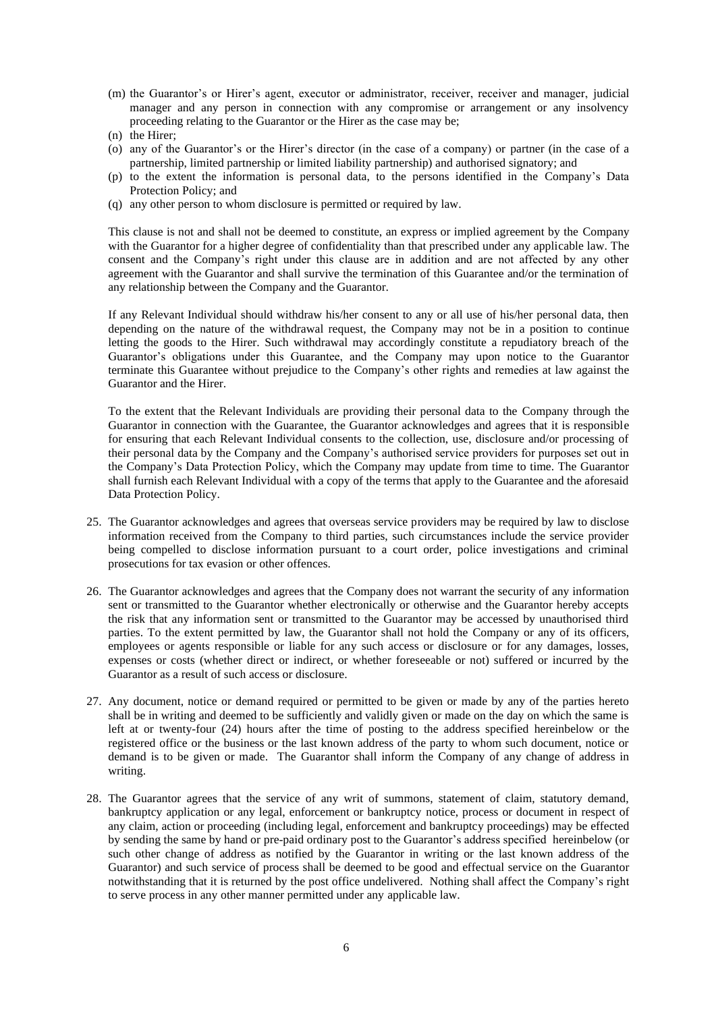- (m) the Guarantor's or Hirer's agent, executor or administrator, receiver, receiver and manager, judicial manager and any person in connection with any compromise or arrangement or any insolvency proceeding relating to the Guarantor or the Hirer as the case may be;
- (n) the Hirer;
- (o) any of the Guarantor's or the Hirer's director (in the case of a company) or partner (in the case of a partnership, limited partnership or limited liability partnership) and authorised signatory; and
- (p) to the extent the information is personal data, to the persons identified in the Company's Data Protection Policy; and
- (q) any other person to whom disclosure is permitted or required by law.

This clause is not and shall not be deemed to constitute, an express or implied agreement by the Company with the Guarantor for a higher degree of confidentiality than that prescribed under any applicable law. The consent and the Company's right under this clause are in addition and are not affected by any other agreement with the Guarantor and shall survive the termination of this Guarantee and/or the termination of any relationship between the Company and the Guarantor.

If any Relevant Individual should withdraw his/her consent to any or all use of his/her personal data, then depending on the nature of the withdrawal request, the Company may not be in a position to continue letting the goods to the Hirer. Such withdrawal may accordingly constitute a repudiatory breach of the Guarantor's obligations under this Guarantee, and the Company may upon notice to the Guarantor terminate this Guarantee without prejudice to the Company's other rights and remedies at law against the Guarantor and the Hirer.

To the extent that the Relevant Individuals are providing their personal data to the Company through the Guarantor in connection with the Guarantee, the Guarantor acknowledges and agrees that it is responsible for ensuring that each Relevant Individual consents to the collection, use, disclosure and/or processing of their personal data by the Company and the Company's authorised service providers for purposes set out in the Company's Data Protection Policy, which the Company may update from time to time. The Guarantor shall furnish each Relevant Individual with a copy of the terms that apply to the Guarantee and the aforesaid Data Protection Policy.

- 25. The Guarantor acknowledges and agrees that overseas service providers may be required by law to disclose information received from the Company to third parties, such circumstances include the service provider being compelled to disclose information pursuant to a court order, police investigations and criminal prosecutions for tax evasion or other offences.
- 26. The Guarantor acknowledges and agrees that the Company does not warrant the security of any information sent or transmitted to the Guarantor whether electronically or otherwise and the Guarantor hereby accepts the risk that any information sent or transmitted to the Guarantor may be accessed by unauthorised third parties. To the extent permitted by law, the Guarantor shall not hold the Company or any of its officers, employees or agents responsible or liable for any such access or disclosure or for any damages, losses, expenses or costs (whether direct or indirect, or whether foreseeable or not) suffered or incurred by the Guarantor as a result of such access or disclosure.
- 27. Any document, notice or demand required or permitted to be given or made by any of the parties hereto shall be in writing and deemed to be sufficiently and validly given or made on the day on which the same is left at or twenty-four (24) hours after the time of posting to the address specified hereinbelow or the registered office or the business or the last known address of the party to whom such document, notice or demand is to be given or made. The Guarantor shall inform the Company of any change of address in writing.
- 28. The Guarantor agrees that the service of any writ of summons, statement of claim, statutory demand, bankruptcy application or any legal, enforcement or bankruptcy notice, process or document in respect of any claim, action or proceeding (including legal, enforcement and bankruptcy proceedings) may be effected by sending the same by hand or pre-paid ordinary post to the Guarantor's address specified hereinbelow (or such other change of address as notified by the Guarantor in writing or the last known address of the Guarantor) and such service of process shall be deemed to be good and effectual service on the Guarantor notwithstanding that it is returned by the post office undelivered. Nothing shall affect the Company's right to serve process in any other manner permitted under any applicable law.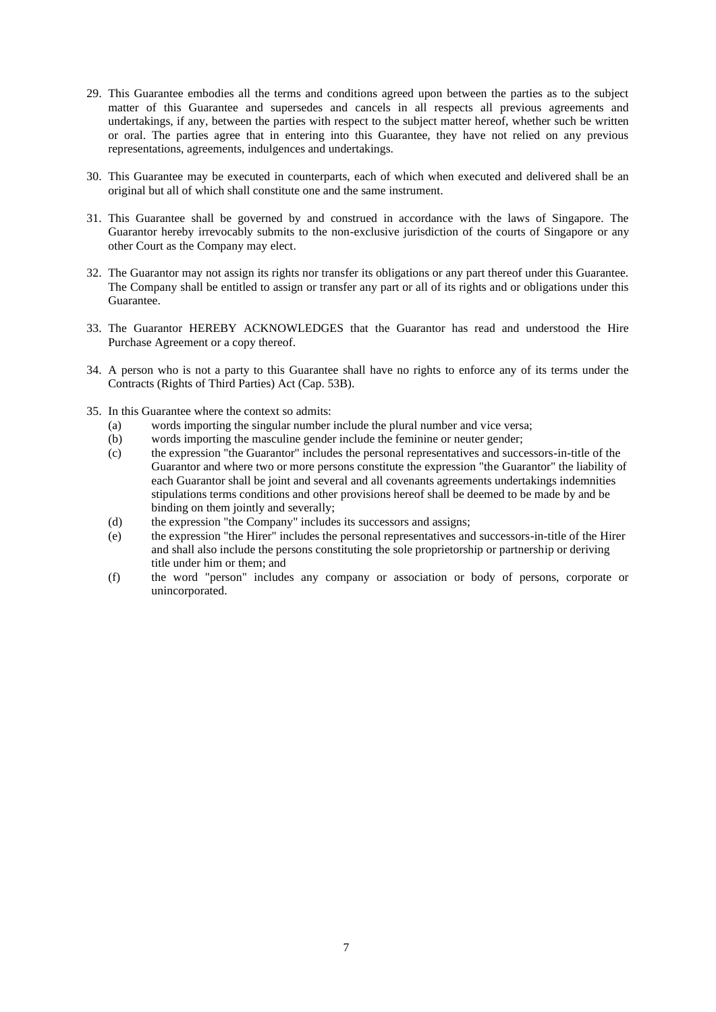- 29. This Guarantee embodies all the terms and conditions agreed upon between the parties as to the subject matter of this Guarantee and supersedes and cancels in all respects all previous agreements and undertakings, if any, between the parties with respect to the subject matter hereof, whether such be written or oral. The parties agree that in entering into this Guarantee, they have not relied on any previous representations, agreements, indulgences and undertakings.
- 30. This Guarantee may be executed in counterparts, each of which when executed and delivered shall be an original but all of which shall constitute one and the same instrument.
- 31. This Guarantee shall be governed by and construed in accordance with the laws of Singapore. The Guarantor hereby irrevocably submits to the non-exclusive jurisdiction of the courts of Singapore or any other Court as the Company may elect.
- 32. The Guarantor may not assign its rights nor transfer its obligations or any part thereof under this Guarantee. The Company shall be entitled to assign or transfer any part or all of its rights and or obligations under this Guarantee.
- 33. The Guarantor HEREBY ACKNOWLEDGES that the Guarantor has read and understood the Hire Purchase Agreement or a copy thereof.
- 34. A person who is not a party to this Guarantee shall have no rights to enforce any of its terms under the Contracts (Rights of Third Parties) Act (Cap. 53B).
- 35. In this Guarantee where the context so admits:
	- (a) words importing the singular number include the plural number and vice versa;
	- (b) words importing the masculine gender include the feminine or neuter gender;
	- (c) the expression "the Guarantor" includes the personal representatives and successors-in-title of the Guarantor and where two or more persons constitute the expression "the Guarantor" the liability of each Guarantor shall be joint and several and all covenants agreements undertakings indemnities stipulations terms conditions and other provisions hereof shall be deemed to be made by and be binding on them jointly and severally;
	- (d) the expression "the Company" includes its successors and assigns;
	- (e) the expression "the Hirer" includes the personal representatives and successors-in-title of the Hirer and shall also include the persons constituting the sole proprietorship or partnership or deriving title under him or them; and
	- (f) the word "person" includes any company or association or body of persons, corporate or unincorporated.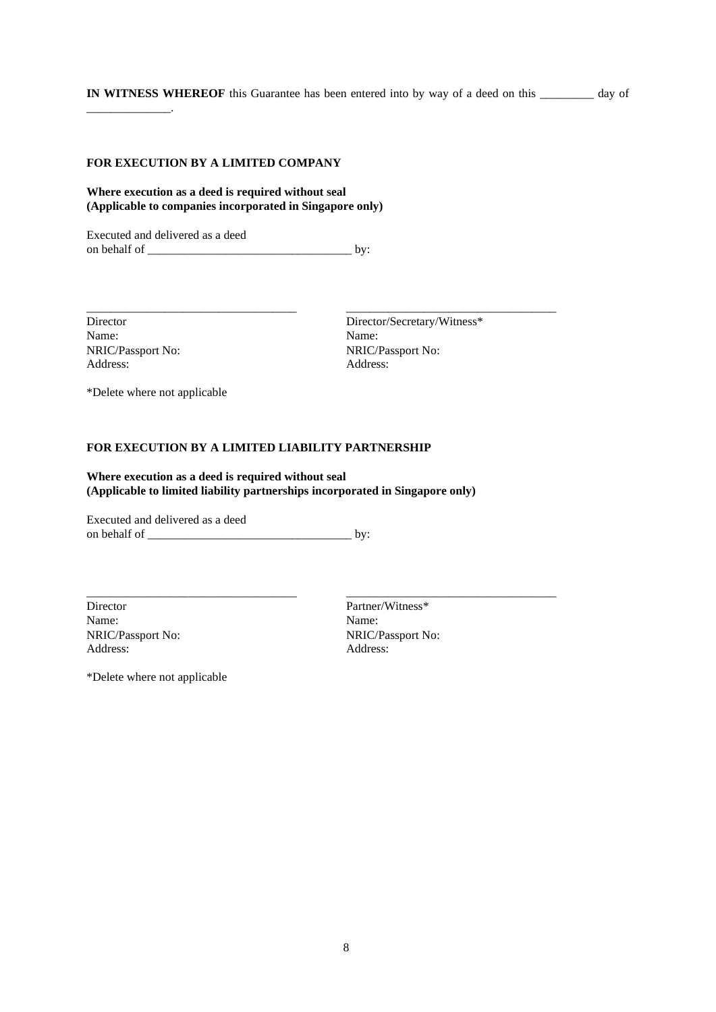**IN WITNESS WHEREOF** this Guarantee has been entered into by way of a deed on this \_\_\_\_\_\_\_\_\_ day of

# **FOR EXECUTION BY A LIMITED COMPANY**

## **Where execution as a deed is required without seal (Applicable to companies incorporated in Singapore only)**

Executed and delivered as a deed on behalf of \_\_\_\_\_\_\_\_\_\_\_\_\_\_\_\_\_\_\_\_\_\_\_\_\_\_\_\_\_\_\_\_\_\_ by:

Name: Name: NRIC/Passport No: NRIC/Passport No: Address: Address: Address: Address: Address: Address: Address: Address: Address: Address: Address: Address: Address:  $\alpha$ 

\_\_\_\_\_\_\_\_\_\_\_\_\_\_.

Director Director/Secretary/Witness\*<br>
Name: Name:

\*Delete where not applicable

## **FOR EXECUTION BY A LIMITED LIABILITY PARTNERSHIP**

**Where execution as a deed is required without seal (Applicable to limited liability partnerships incorporated in Singapore only)**

\_\_\_\_\_\_\_\_\_\_\_\_\_\_\_\_\_\_\_\_\_\_\_\_\_\_\_\_\_\_\_\_\_\_\_ \_\_\_\_\_\_\_\_\_\_\_\_\_\_\_\_\_\_\_\_\_\_\_\_\_\_\_\_\_\_\_\_\_\_\_

\_\_\_\_\_\_\_\_\_\_\_\_\_\_\_\_\_\_\_\_\_\_\_\_\_\_\_\_\_\_\_\_\_\_\_ \_\_\_\_\_\_\_\_\_\_\_\_\_\_\_\_\_\_\_\_\_\_\_\_\_\_\_\_\_\_\_\_\_\_\_

Executed and delivered as a deed on behalf of \_\_\_\_\_\_\_\_\_\_\_\_\_\_\_\_\_\_\_\_\_\_\_\_\_\_\_\_\_\_\_\_\_\_ by:

Director Partner/Witness\* Name: Name: Address: Address:

NRIC/Passport No: NRIC/Passport No:

\*Delete where not applicable